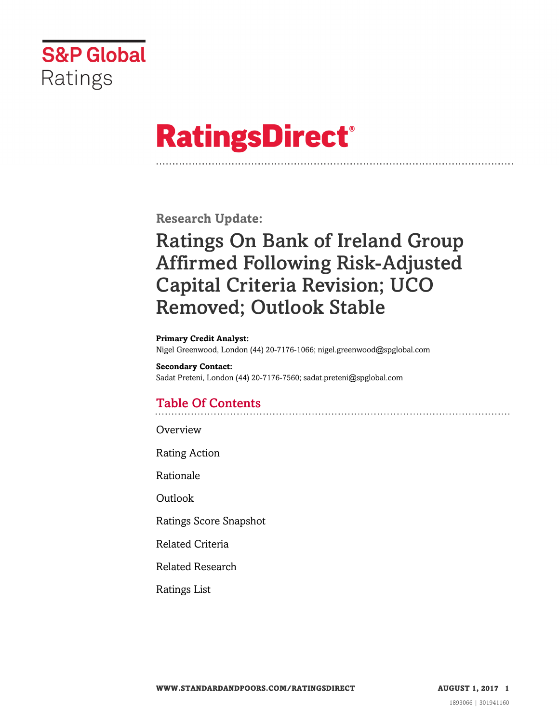

# **RatingsDirect®**

**Research Update:**

## Ratings On Bank of Ireland Group Affirmed Following Risk-Adjusted Capital Criteria Revision; UCO Removed; Outlook Stable

**Primary Credit Analyst:**

Nigel Greenwood, London (44) 20-7176-1066; nigel.greenwood@spglobal.com

**Secondary Contact:** Sadat Preteni, London (44) 20-7176-7560; sadat.preteni@spglobal.com

## Table Of Contents

[Overview](#page-1-0)

[Rating Action](#page-1-1)

[Rationale](#page-2-0)

[Outlook](#page-3-0)

[Ratings Score Snapshot](#page-4-0)

[Related Criteria](#page-4-1)

[Related Research](#page-5-0)

[Ratings List](#page-5-1)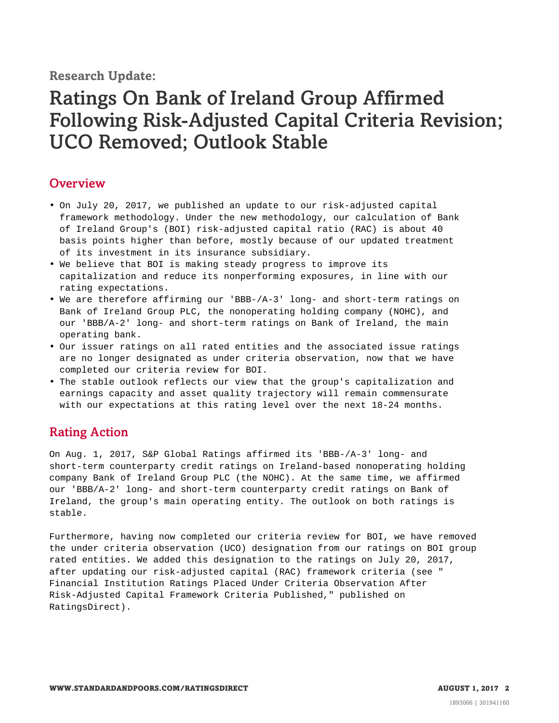**Research Update:**

## Ratings On Bank of Ireland Group Affirmed Following Risk-Adjusted Capital Criteria Revision; UCO Removed; Outlook Stable

## <span id="page-1-0"></span>**Overview**

- On July 20, 2017, we published an update to our risk-adjusted capital framework methodology. Under the new methodology, our calculation of Bank of Ireland Group's (BOI) risk-adjusted capital ratio (RAC) is about 40 basis points higher than before, mostly because of our updated treatment of its investment in its insurance subsidiary.
- We believe that BOI is making steady progress to improve its capitalization and reduce its nonperforming exposures, in line with our rating expectations.
- We are therefore affirming our 'BBB-/A-3' long- and short-term ratings on Bank of Ireland Group PLC, the nonoperating holding company (NOHC), and our 'BBB/A-2' long- and short-term ratings on Bank of Ireland, the main operating bank.
- Our issuer ratings on all rated entities and the associated issue ratings are no longer designated as under criteria observation, now that we have completed our criteria review for BOI.
- The stable outlook reflects our view that the group's capitalization and earnings capacity and asset quality trajectory will remain commensurate with our expectations at this rating level over the next 18-24 months.

## <span id="page-1-1"></span>Rating Action

On Aug. 1, 2017, S&P Global Ratings affirmed its 'BBB-/A-3' long- and short-term counterparty credit ratings on Ireland-based nonoperating holding company Bank of Ireland Group PLC (the NOHC). At the same time, we affirmed our 'BBB/A-2' long- and short-term counterparty credit ratings on Bank of Ireland, the group's main operating entity. The outlook on both ratings is stable.

Furthermore, having now completed our criteria review for BOI, we have removed the under criteria observation (UCO) designation from our ratings on BOI group rated entities. We added this designation to the ratings on July 20, 2017, after updating our risk-adjusted capital (RAC) framework criteria (see " Financial Institution Ratings Placed Under Criteria Observation After Risk-Adjusted Capital Framework Criteria Published," published on RatingsDirect).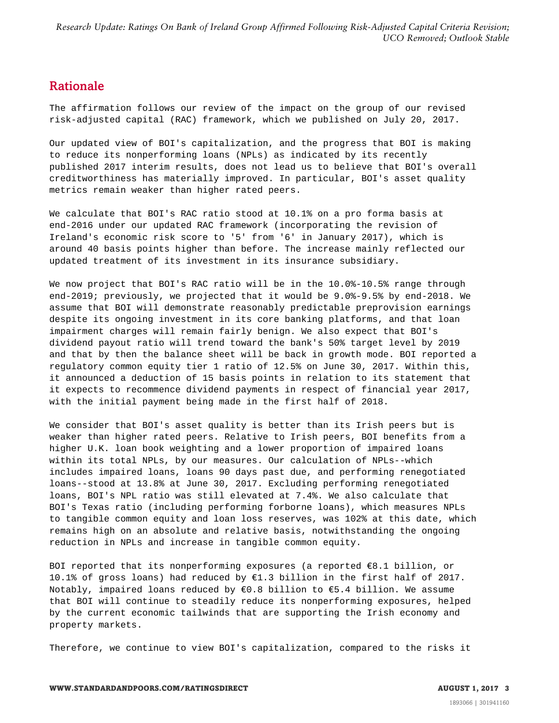### <span id="page-2-0"></span>Rationale

The affirmation follows our review of the impact on the group of our revised risk-adjusted capital (RAC) framework, which we published on July 20, 2017.

Our updated view of BOI's capitalization, and the progress that BOI is making to reduce its nonperforming loans (NPLs) as indicated by its recently published 2017 interim results, does not lead us to believe that BOI's overall creditworthiness has materially improved. In particular, BOI's asset quality metrics remain weaker than higher rated peers.

We calculate that BOI's RAC ratio stood at 10.1% on a pro forma basis at end-2016 under our updated RAC framework (incorporating the revision of Ireland's economic risk score to '5' from '6' in January 2017), which is around 40 basis points higher than before. The increase mainly reflected our updated treatment of its investment in its insurance subsidiary.

We now project that BOI's RAC ratio will be in the 10.0%-10.5% range through end-2019; previously, we projected that it would be 9.0%-9.5% by end-2018. We assume that BOI will demonstrate reasonably predictable preprovision earnings despite its ongoing investment in its core banking platforms, and that loan impairment charges will remain fairly benign. We also expect that BOI's dividend payout ratio will trend toward the bank's 50% target level by 2019 and that by then the balance sheet will be back in growth mode. BOI reported a regulatory common equity tier 1 ratio of 12.5% on June 30, 2017. Within this, it announced a deduction of 15 basis points in relation to its statement that it expects to recommence dividend payments in respect of financial year 2017, with the initial payment being made in the first half of 2018.

We consider that BOI's asset quality is better than its Irish peers but is weaker than higher rated peers. Relative to Irish peers, BOI benefits from a higher U.K. loan book weighting and a lower proportion of impaired loans within its total NPLs, by our measures. Our calculation of NPLs--which includes impaired loans, loans 90 days past due, and performing renegotiated loans--stood at 13.8% at June 30, 2017. Excluding performing renegotiated loans, BOI's NPL ratio was still elevated at 7.4%. We also calculate that BOI's Texas ratio (including performing forborne loans), which measures NPLs to tangible common equity and loan loss reserves, was 102% at this date, which remains high on an absolute and relative basis, notwithstanding the ongoing reduction in NPLs and increase in tangible common equity.

BOI reported that its nonperforming exposures (a reported  $€8.1$  billion, or 10.1% of gross loans) had reduced by €1.3 billion in the first half of 2017. Notably, impaired loans reduced by €0.8 billion to €5.4 billion. We assume that BOI will continue to steadily reduce its nonperforming exposures, helped by the current economic tailwinds that are supporting the Irish economy and property markets.

Therefore, we continue to view BOI's capitalization, compared to the risks it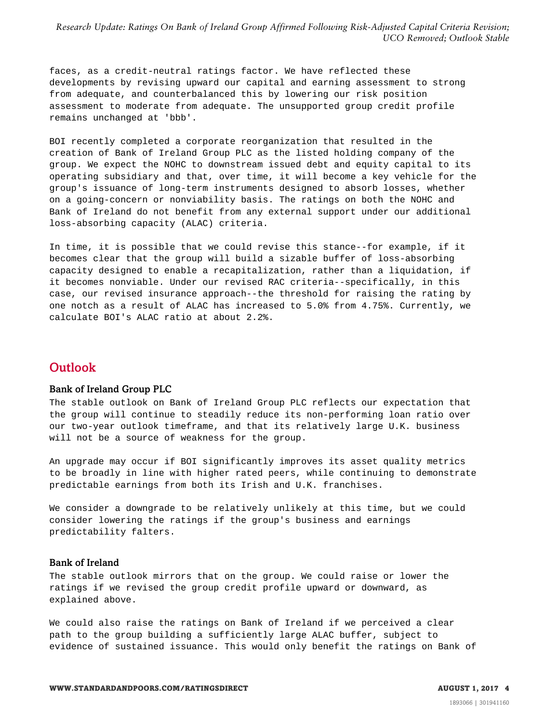faces, as a credit-neutral ratings factor. We have reflected these developments by revising upward our capital and earning assessment to strong from adequate, and counterbalanced this by lowering our risk position assessment to moderate from adequate. The unsupported group credit profile remains unchanged at 'bbb'.

BOI recently completed a corporate reorganization that resulted in the creation of Bank of Ireland Group PLC as the listed holding company of the group. We expect the NOHC to downstream issued debt and equity capital to its operating subsidiary and that, over time, it will become a key vehicle for the group's issuance of long-term instruments designed to absorb losses, whether on a going-concern or nonviability basis. The ratings on both the NOHC and Bank of Ireland do not benefit from any external support under our additional loss-absorbing capacity (ALAC) criteria.

In time, it is possible that we could revise this stance--for example, if it becomes clear that the group will build a sizable buffer of loss-absorbing capacity designed to enable a recapitalization, rather than a liquidation, if it becomes nonviable. Under our revised RAC criteria--specifically, in this case, our revised insurance approach--the threshold for raising the rating by one notch as a result of ALAC has increased to 5.0% from 4.75%. Currently, we calculate BOI's ALAC ratio at about 2.2%.

### <span id="page-3-0"></span>**Outlook**

#### Bank of Ireland Group PLC

The stable outlook on Bank of Ireland Group PLC reflects our expectation that the group will continue to steadily reduce its non-performing loan ratio over our two-year outlook timeframe, and that its relatively large U.K. business will not be a source of weakness for the group.

An upgrade may occur if BOI significantly improves its asset quality metrics to be broadly in line with higher rated peers, while continuing to demonstrate predictable earnings from both its Irish and U.K. franchises.

We consider a downgrade to be relatively unlikely at this time, but we could consider lowering the ratings if the group's business and earnings predictability falters.

#### Bank of Ireland

The stable outlook mirrors that on the group. We could raise or lower the ratings if we revised the group credit profile upward or downward, as explained above.

We could also raise the ratings on Bank of Ireland if we perceived a clear path to the group building a sufficiently large ALAC buffer, subject to evidence of sustained issuance. This would only benefit the ratings on Bank of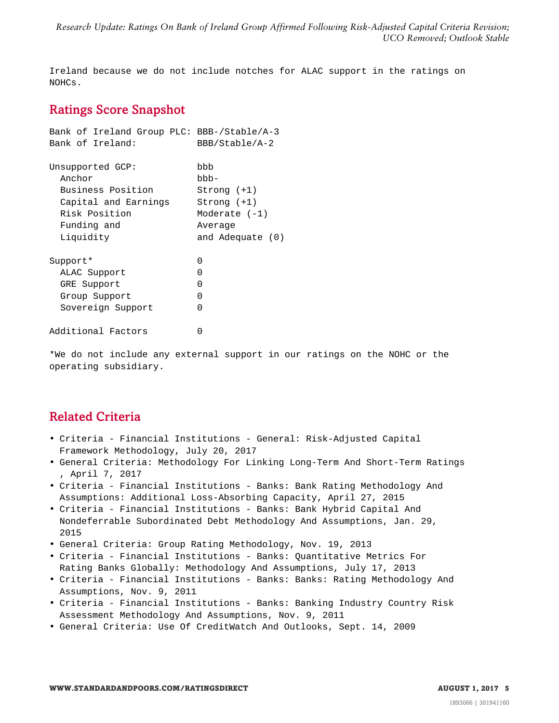<span id="page-4-0"></span>Ireland because we do not include notches for ALAC support in the ratings on NOHCs.

## Ratings Score Snapshot

| Bank of Ireland Group PLC: BBB-/Stable/A-3<br>Bank of Ireland: | BBB/Stable/A-2     |
|----------------------------------------------------------------|--------------------|
| Unsupported GCP:                                               | bbb                |
| Anchor                                                         | $bbb -$            |
| Business Position                                              | $Strong (+1)$      |
| Capital and Earnings                                           | $Strong (+1)$      |
| Risk Position                                                  | Moderate $(-1)$    |
| Funding and                                                    | Average            |
| Liquidity                                                      | and Adequate $(0)$ |
| Support*                                                       | 0                  |
| ALAC Support                                                   | $\mathcal{L}$      |
| GRE Support                                                    | O                  |
| Group Support                                                  | O                  |
| Sovereign Support                                              | O                  |
| Additional Factors                                             | Ⴖ                  |

\*We do not include any external support in our ratings on the NOHC or the operating subsidiary.

## <span id="page-4-1"></span>Related Criteria

- Criteria Financial Institutions General: Risk-Adjusted Capital Framework Methodology, July 20, 2017
- General Criteria: Methodology For Linking Long-Term And Short-Term Ratings , April 7, 2017
- Criteria Financial Institutions Banks: Bank Rating Methodology And Assumptions: Additional Loss-Absorbing Capacity, April 27, 2015
- Criteria Financial Institutions Banks: Bank Hybrid Capital And Nondeferrable Subordinated Debt Methodology And Assumptions, Jan. 29, 2015
- General Criteria: Group Rating Methodology, Nov. 19, 2013
- Criteria Financial Institutions Banks: Quantitative Metrics For Rating Banks Globally: Methodology And Assumptions, July 17, 2013
- Criteria Financial Institutions Banks: Banks: Rating Methodology And Assumptions, Nov. 9, 2011
- Criteria Financial Institutions Banks: Banking Industry Country Risk Assessment Methodology And Assumptions, Nov. 9, 2011
- General Criteria: Use Of CreditWatch And Outlooks, Sept. 14, 2009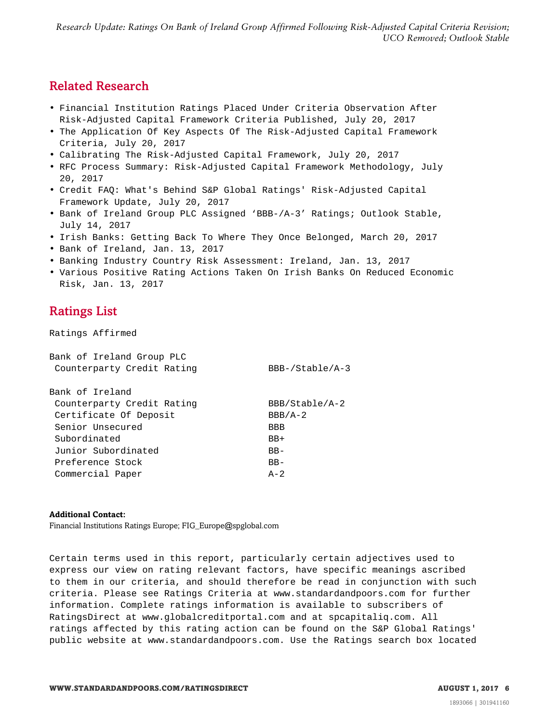## <span id="page-5-0"></span>Related Research

- Financial Institution Ratings Placed Under Criteria Observation After Risk-Adjusted Capital Framework Criteria Published, July 20, 2017
- The Application Of Key Aspects Of The Risk-Adjusted Capital Framework Criteria, July 20, 2017
- Calibrating The Risk-Adjusted Capital Framework, July 20, 2017
- RFC Process Summary: Risk-Adjusted Capital Framework Methodology, July 20, 2017
- Credit FAQ: What's Behind S&P Global Ratings' Risk-Adjusted Capital Framework Update, July 20, 2017
- Bank of Ireland Group PLC Assigned 'BBB-/A-3' Ratings; Outlook Stable, July 14, 2017
- Irish Banks: Getting Back To Where They Once Belonged, March 20, 2017
- Bank of Ireland, Jan. 13, 2017
- Banking Industry Country Risk Assessment: Ireland, Jan. 13, 2017
- <span id="page-5-1"></span>• Various Positive Rating Actions Taken On Irish Banks On Reduced Economic Risk, Jan. 13, 2017

## Ratings List

Ratings Affirmed

| Bank of Ireland Group PLC<br>Counterparty Credit Rating | $BBB-/Stable/A-3$ |
|---------------------------------------------------------|-------------------|
| Bank of Ireland                                         |                   |
| Counterparty Credit Rating                              | BBB/Stable/A-2    |
| Certificate Of Deposit                                  | $BBB/A-2$         |
| Senior Unsecured                                        | <b>BBB</b>        |
| Subordinated                                            | $BB+$             |
| Junior Subordinated                                     | $BB -$            |
| Preference Stock                                        | $BB-$             |
| Commercial Paper                                        | $A - 2$           |
|                                                         |                   |

#### **Additional Contact:**

Financial Institutions Ratings Europe; FIG\_Europe@spglobal.com

Certain terms used in this report, particularly certain adjectives used to express our view on rating relevant factors, have specific meanings ascribed to them in our criteria, and should therefore be read in conjunction with such criteria. Please see Ratings Criteria at www.standardandpoors.com for further information. Complete ratings information is available to subscribers of RatingsDirect at www.globalcreditportal.com and at spcapitaliq.com. All ratings affected by this rating action can be found on the S&P Global Ratings' public website at www.standardandpoors.com. Use the Ratings search box located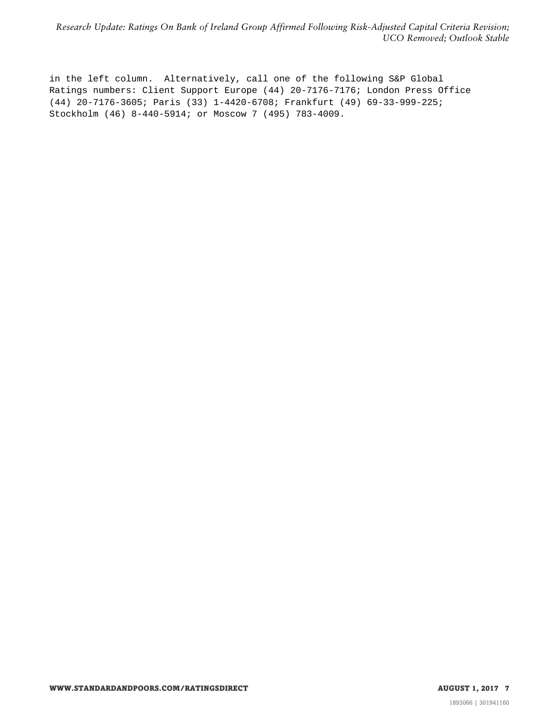in the left column. Alternatively, call one of the following S&P Global Ratings numbers: Client Support Europe (44) 20-7176-7176; London Press Office (44) 20-7176-3605; Paris (33) 1-4420-6708; Frankfurt (49) 69-33-999-225; Stockholm (46) 8-440-5914; or Moscow 7 (495) 783-4009.